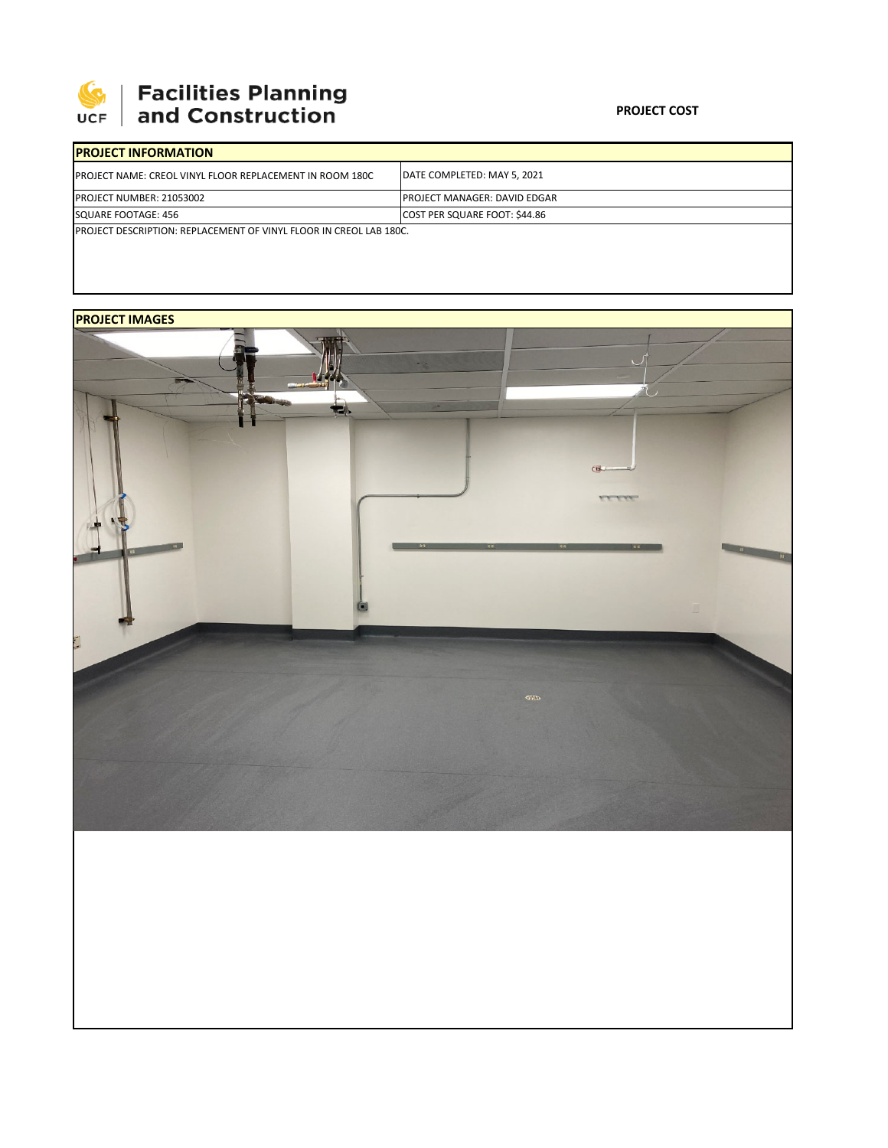

## **Facilities Planning**<br>and Construction

| <b>IPROJECT INFORMATION</b>                                                |                                      |  |  |  |  |
|----------------------------------------------------------------------------|--------------------------------------|--|--|--|--|
| <b>IPROJECT NAME: CREOL VINYL FLOOR REPLACEMENT IN ROOM 180C</b>           | DATE COMPLETED: MAY 5, 2021          |  |  |  |  |
| <b>IPROJECT NUMBER: 21053002</b>                                           | <b>IPROJECT MANAGER: DAVID EDGAR</b> |  |  |  |  |
| SQUARE FOOTAGE: 456                                                        | COST PER SQUARE FOOT: \$44.86        |  |  |  |  |
| <b>IPROJECT DESCRIPTION: REPLACEMENT OF VINYL FLOOR IN CREOL LAB 180C.</b> |                                      |  |  |  |  |

## **PROJECT IMAGES**